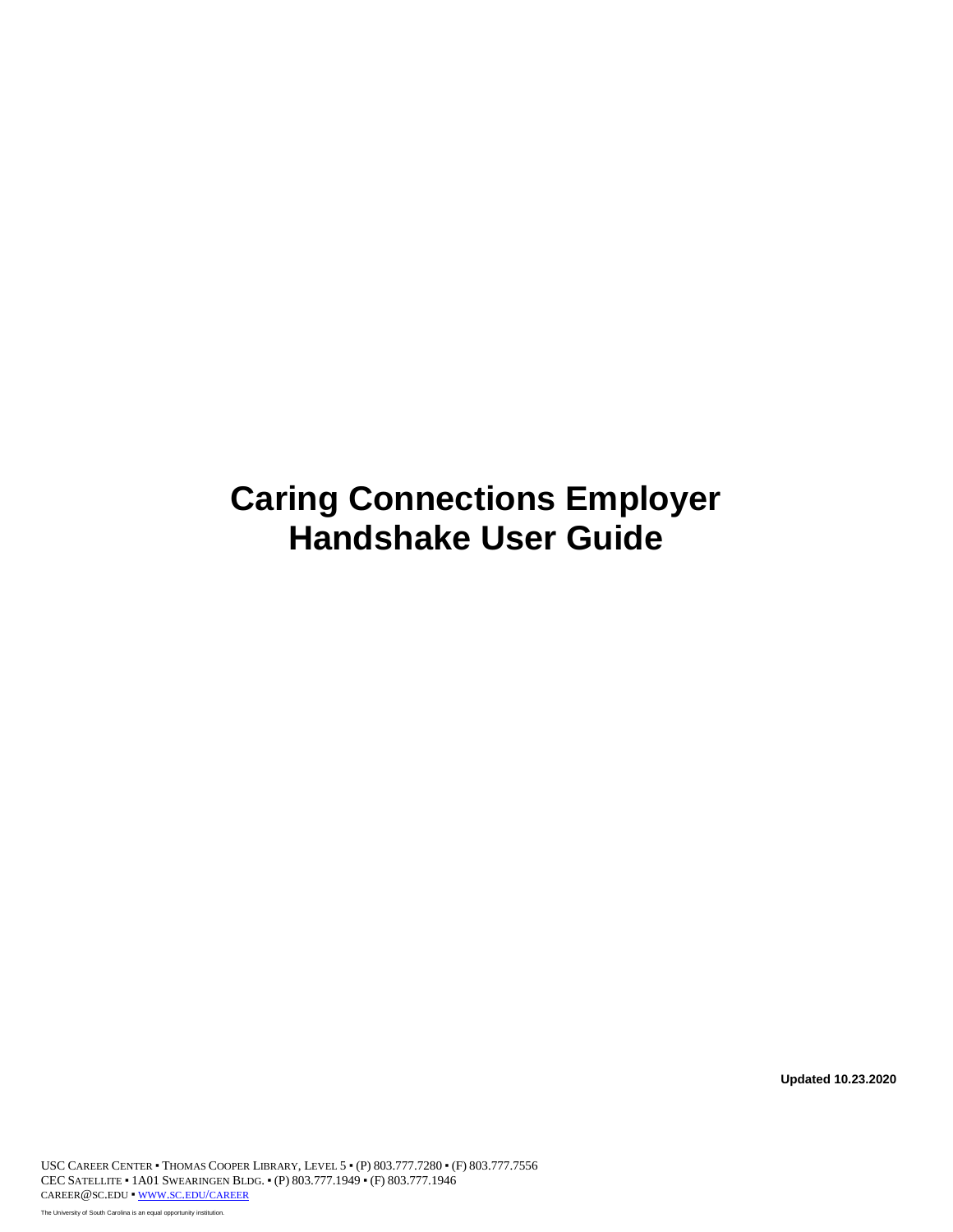# **Caring Connections Employer Handshake User Guide**

**Updated 10.23.2020**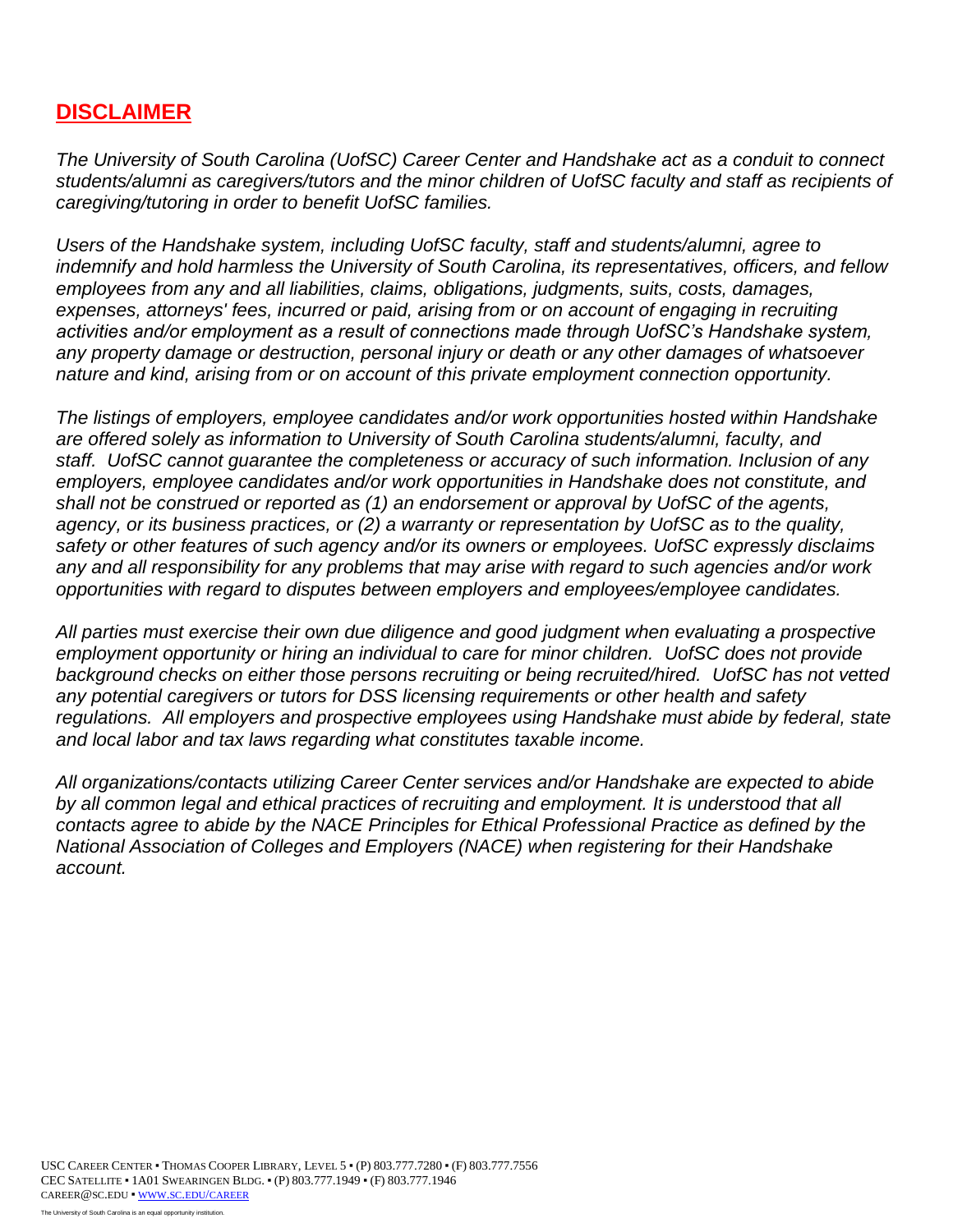# **DISCLAIMER**

 *caregiving/tutoring in order to benefit UofSC families. The University of South Carolina (UofSC) Career Center and Handshake act as a conduit to connect students/alumni as caregivers/tutors and the minor children of UofSC faculty and staff as recipients of* 

Users of the Handshake system, including UofSC faculty, staff and students/alumni, agree to  *indemnify and hold harmless the University of South Carolina, its representatives, officers, and fellow employees from any and all liabilities, claims, obligations, judgments, suits, costs, damages,*  expenses, attorneys' fees, incurred or paid, arising from or on account of engaging in recruiting *activities and/or employment as a result of connections made through UofSC's Handshake system, any property damage or destruction, personal injury or death or any other damages of whatsoever nature and kind, arising from or on account of this private employment connection opportunity.* 

 *agency, or its business practices, or (2) a warranty or representation by UofSC as to the quality, The listings of employers, employee candidates and/or work opportunities hosted within Handshake are offered solely as information to University of South Carolina students/alumni, faculty, and staff. UofSC cannot guarantee the completeness or accuracy of such information. Inclusion of any employers, employee candidates and/or work opportunities in Handshake does not constitute, and shall not be construed or reported as (1) an endorsement or approval by UofSC of the agents, safety or other features of such agency and/or its owners or employees. UofSC expressly disclaims any and all responsibility for any problems that may arise with regard to such agencies and/or work opportunities with regard to disputes between employers and employees/employee candidates.* 

 *All parties must exercise their own due diligence and good judgment when evaluating a prospective employment opportunity or hiring an individual to care for minor children. UofSC does not provide*  background checks on either those persons recruiting or being recruited/hired. UofSC has not vetted *any potential caregivers or tutors for DSS licensing requirements or other health and safety regulations. All employers and prospective employees using Handshake must abide by federal, state and local labor and tax laws regarding what constitutes taxable income.* 

 *All organizations/contacts utilizing Career Center services and/or Handshake are expected to abide*  by all common legal and ethical practices of recruiting and employment. It is understood that all *contacts agree to abide by the NACE Principles for Ethical Professional Practice as defined by the National Association of Colleges and Employers (NACE) when registering for their Handshake account.*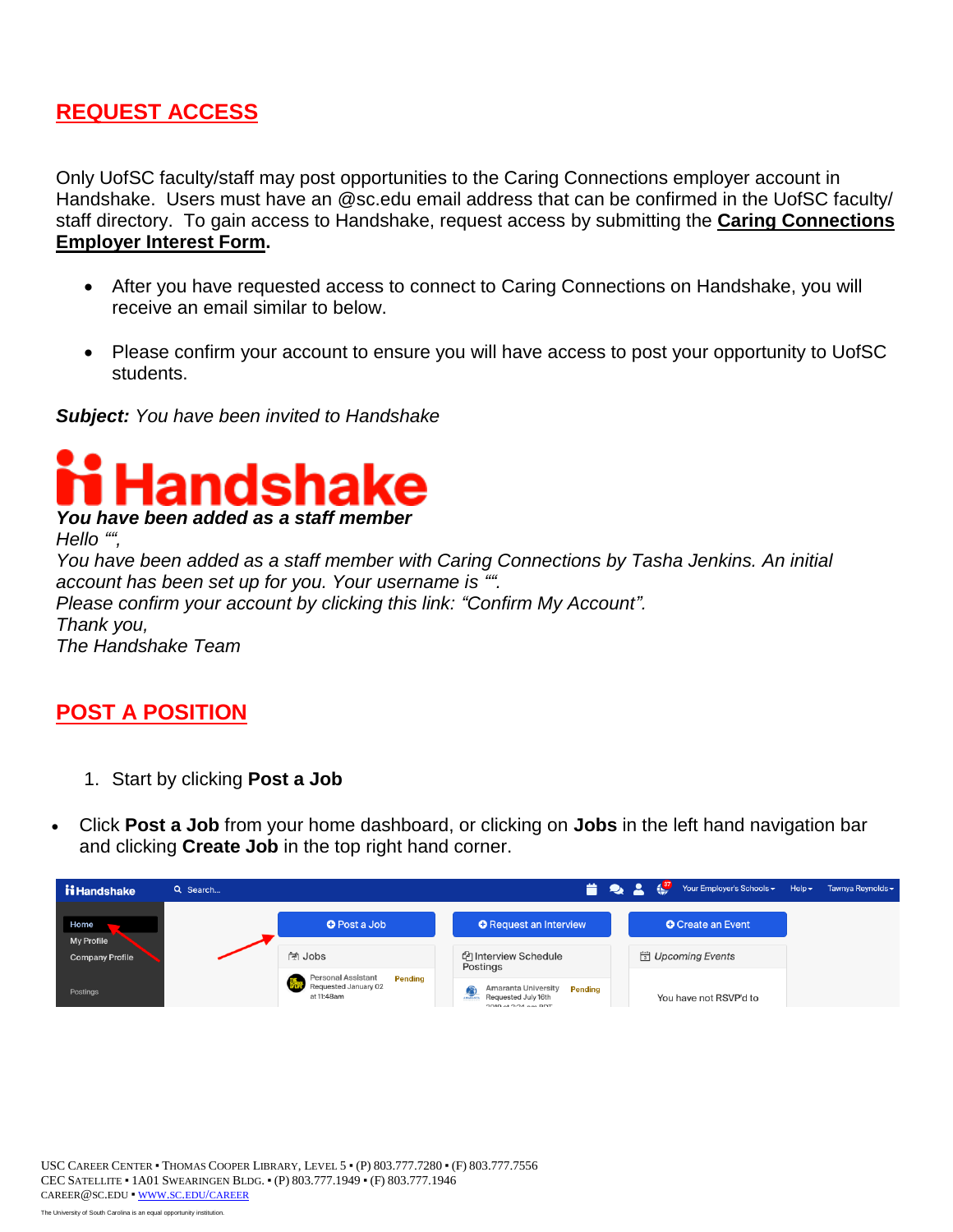# **REQUEST ACCESS**

Only UofSC faculty/staff may post opportunities to the Caring Connections employer account in Handshake. Users must have an @sc.edu email address that can be confirmed in the UofSC faculty/ staff directory. To gain access to Handshake, request access by submitting the **[Caring Connections](https://forms.office.com/Pages/ResponsePage.aspx?id=GUsqSzXRDkKLsrHNI4mYzMYKCcHPgHtDtvbqbNP7VLRURUhWN005OE4zRkRHV040SzdDSE9FUVU5RS4u)  [Employer Interest Form.](https://forms.office.com/Pages/ResponsePage.aspx?id=GUsqSzXRDkKLsrHNI4mYzMYKCcHPgHtDtvbqbNP7VLRURUhWN005OE4zRkRHV040SzdDSE9FUVU5RS4u)** 

- After you have requested access to connect to Caring Connections on Handshake, you will receive an email similar to below.
- Please confirm your account to ensure you will have access to post your opportunity to UofSC students.

*Subject: You have been invited to Handshake* 



### **POST A POSITION**

- 1. Start by clicking **Post a Job**
- Click **Post a Job** from your home dashboard, or clicking on **Jobs** in the left hand navigation bar and clicking **Create Job** in the top right hand corner.

| ii Handshake           | Q Search |                                                                                   | <b>NEW 28</b>                                                                                             | <b>AND READY</b> | Your Employer's Schools - | $Heip -$ | Tawnya Reynolds - |
|------------------------|----------|-----------------------------------------------------------------------------------|-----------------------------------------------------------------------------------------------------------|------------------|---------------------------|----------|-------------------|
| Home<br>My Profile     |          | <b>O</b> Post a Job                                                               | <b>O</b> Request an Interview                                                                             |                  | <b>O</b> Create an Event  |          |                   |
| <b>Company Profile</b> |          | ब्लि Jobs                                                                         | <b><i>C</i></b> Interview Schedule<br>Postings                                                            |                  | Upcoming Events           |          |                   |
| Postings               |          | <b>Personal Assistant</b><br><b>Pending</b><br>Requested January 02<br>at 11:48am | Amaranta University<br><b>Pending</b><br><b>ALLA</b><br>Requested July 16th<br>$2010 \approx 2.24$ nm BDT |                  | You have not RSVP'd to    |          |                   |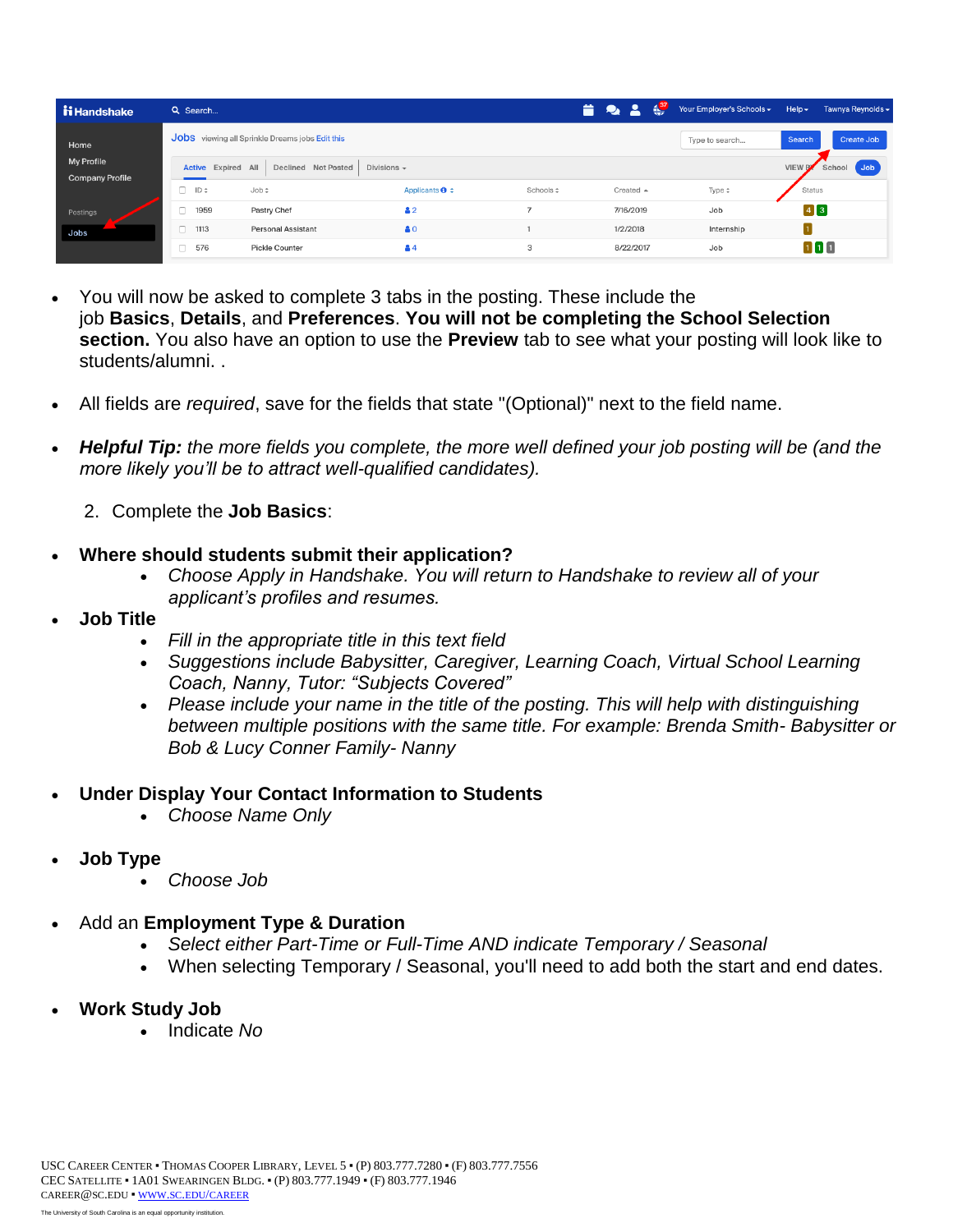| ii Handshake                                | Q Search                  |                                                 |                                |          | $\frac{1}{2}$       | Your Employer's Schools - | Tawnya Reynolds -<br>$Heip -$  |  |
|---------------------------------------------|---------------------------|-------------------------------------------------|--------------------------------|----------|---------------------|---------------------------|--------------------------------|--|
| Home                                        |                           | Jobs viewing all Sprinkle Dreams jobs Edit this |                                |          |                     | Type to search            | Create Job<br>Search           |  |
| <b>My Profile</b><br><b>Company Profile</b> | <b>Active Expired All</b> | Divisions $\sim$<br>Declined Not Posted         |                                |          |                     |                           | dob<br><b>VIEW B</b><br>School |  |
|                                             | $\Box$ ID $\hat{z}$       | Job ÷                                           | Applicants $\mathbf{\Theta}$ : | Schools: | Created $\triangle$ | Type $\hat{z}$            | Status                         |  |
| Postings                                    | n<br>1959                 | Pastry Chef                                     | 42                             | ٠        | 7/16/2019           | Job                       | $\boxed{4}$ $\boxed{3}$        |  |
| Jobs                                        | $\Box$<br>1113            | <b>Personal Assistant</b>                       | 80                             |          | 1/2/2018            | Internship                |                                |  |
|                                             | 0<br>576                  | <b>Pickle Counter</b>                           | 84                             | 3        | 8/22/2017           | Job                       | 111                            |  |

- You will now be asked to complete 3 tabs in the posting. These include the job **Basics**, **Details**, and **Preferences**. **You will not be completing the School Selection section.** You also have an option to use the **Preview** tab to see what your posting will look like to students/alumni. .
- All fields are *required*, save for the fields that state "(Optional)" next to the field name.
- *more likely you'll be to attract well-qualified candidates). Helpful Tip: the more fields you complete, the more well defined your job posting will be (and the* 
	- 2. Complete the **Job Basics**:

#### **Where should students submit their application?**

- *Choose Apply in Handshake. You will return to Handshake to review all of your applicant's profiles and resumes.*
- **Job Title** 
	- *Fill in the appropriate title in this text field*
	- *Suggestions include Babysitter, Caregiver, Learning Coach, Virtual School Learning Coach, Nanny, Tutor: "Subjects Covered"*
	- *Please include your name in the title of the posting. This will help with distinguishing between multiple positions with the same title. For example: Brenda Smith- Babysitter or Bob & Lucy Conner Family- Nanny*

#### **Under Display Your Contact Information to Students**

- *Choose Name Only*
- **Job Type** 
	- *Choose Job*

#### Add an **Employment Type & Duration**

- *Select either Part-Time or Full-Time AND indicate Temporary / Seasonal*
- When selecting Temporary / Seasonal, you'll need to add both the start and end dates.
- **Work Study Job** 
	- Indicate *No*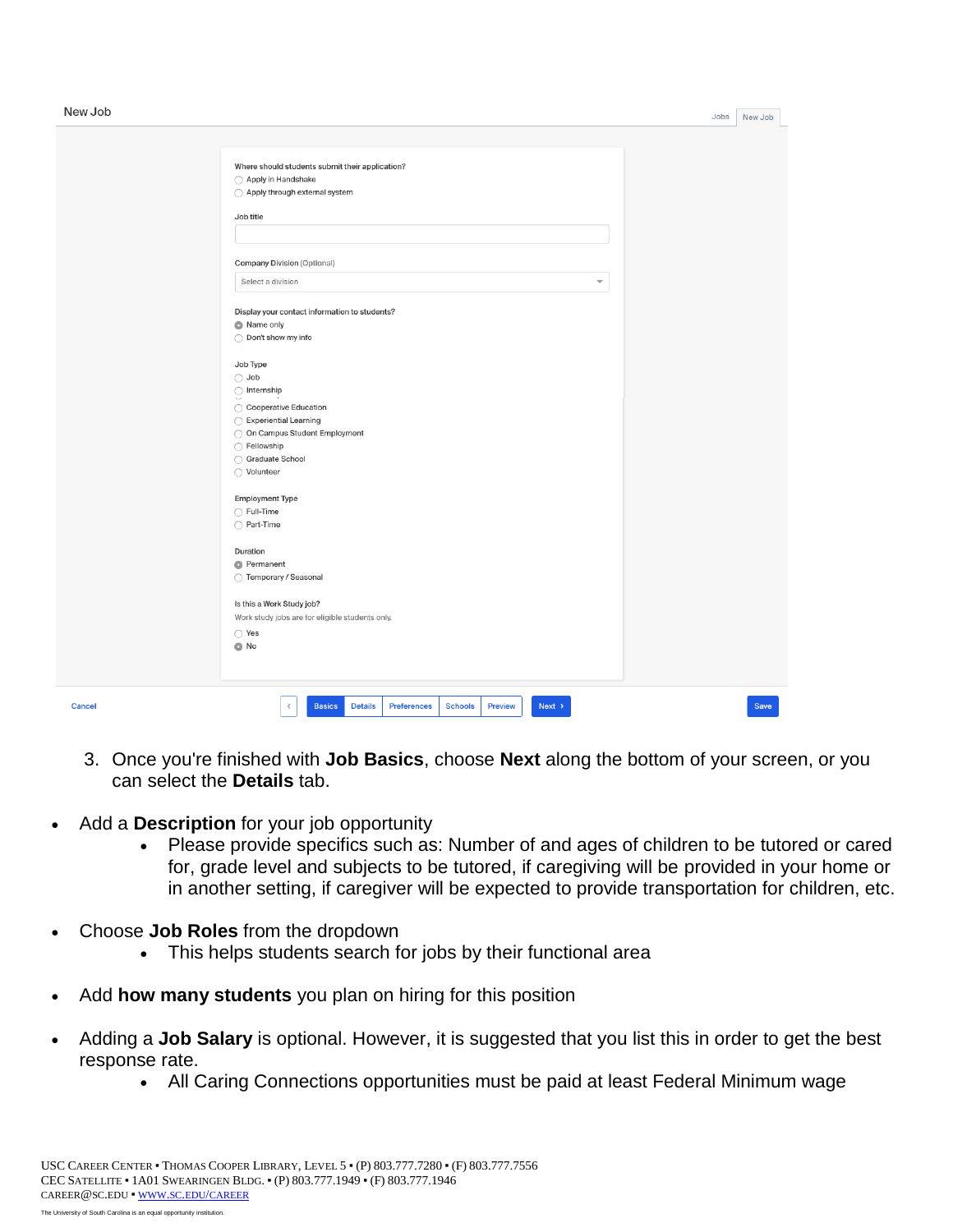$\mathbf{L}$ 

| New Job |                                                                                                     | Jobs | New Job     |  |
|---------|-----------------------------------------------------------------------------------------------------|------|-------------|--|
|         |                                                                                                     |      |             |  |
|         |                                                                                                     |      |             |  |
|         | Where should students submit their application?                                                     |      |             |  |
|         | ◯ Apply in Handshake                                                                                |      |             |  |
|         | ◯ Apply through external system                                                                     |      |             |  |
|         |                                                                                                     |      |             |  |
|         | Job title                                                                                           |      |             |  |
|         |                                                                                                     |      |             |  |
|         |                                                                                                     |      |             |  |
|         | <b>Company Division (Optional)</b>                                                                  |      |             |  |
|         | Select a division<br>$\overline{\phantom{a}}$                                                       |      |             |  |
|         | Display your contact information to students?                                                       |      |             |  |
|         | Name only                                                                                           |      |             |  |
|         | ◯ Don't show my info                                                                                |      |             |  |
|         |                                                                                                     |      |             |  |
|         | Job Type                                                                                            |      |             |  |
|         | $\bigcirc$ Job                                                                                      |      |             |  |
|         | $\bigcirc$ Internship                                                                               |      |             |  |
|         | ◯ Cooperative Education                                                                             |      |             |  |
|         | ◯ Experiential Learning                                                                             |      |             |  |
|         | O On Campus Student Employment                                                                      |      |             |  |
|         | ◯ Fellowship                                                                                        |      |             |  |
|         | ◯ Graduate School                                                                                   |      |             |  |
|         | ◯ Volunteer                                                                                         |      |             |  |
|         |                                                                                                     |      |             |  |
|         | <b>Employment Type</b>                                                                              |      |             |  |
|         | ◯ Full-Time                                                                                         |      |             |  |
|         | ◯ Part-Time                                                                                         |      |             |  |
|         |                                                                                                     |      |             |  |
|         | Duration                                                                                            |      |             |  |
|         | <b>O</b> Permanent                                                                                  |      |             |  |
|         | ◯ Temporary / Seasonal                                                                              |      |             |  |
|         | Is this a Work Study job?                                                                           |      |             |  |
|         | Work study jobs are for eligible students only.                                                     |      |             |  |
|         | ◯ Yes                                                                                               |      |             |  |
|         | $\bullet$ No                                                                                        |      |             |  |
|         |                                                                                                     |      |             |  |
|         |                                                                                                     |      |             |  |
|         |                                                                                                     |      |             |  |
| Cancel  | <b>Basics</b><br><b>Details</b><br><b>Preferences</b><br><b>Schools</b><br>Preview<br>$Next$ ><br>¢ |      | <b>Save</b> |  |
|         |                                                                                                     |      |             |  |

- 3. Once you're finished with **Job Basics**, choose **Next** along the bottom of your screen, or you can select the **Details** tab.
- Add a **Description** for your job opportunity
	- Please provide specifics such as: Number of and ages of children to be tutored or cared for, grade level and subjects to be tutored, if caregiving will be provided in your home or in another setting, if caregiver will be expected to provide transportation for children, etc.
- Choose **Job Roles** from the dropdown
	- This helps students search for jobs by their functional area
- Add **how many students** you plan on hiring for this position
- Adding a **Job Salary** is optional. However, it is suggested that you list this in order to get the best response rate.
	- All Caring Connections opportunities must be paid at least Federal Minimum wage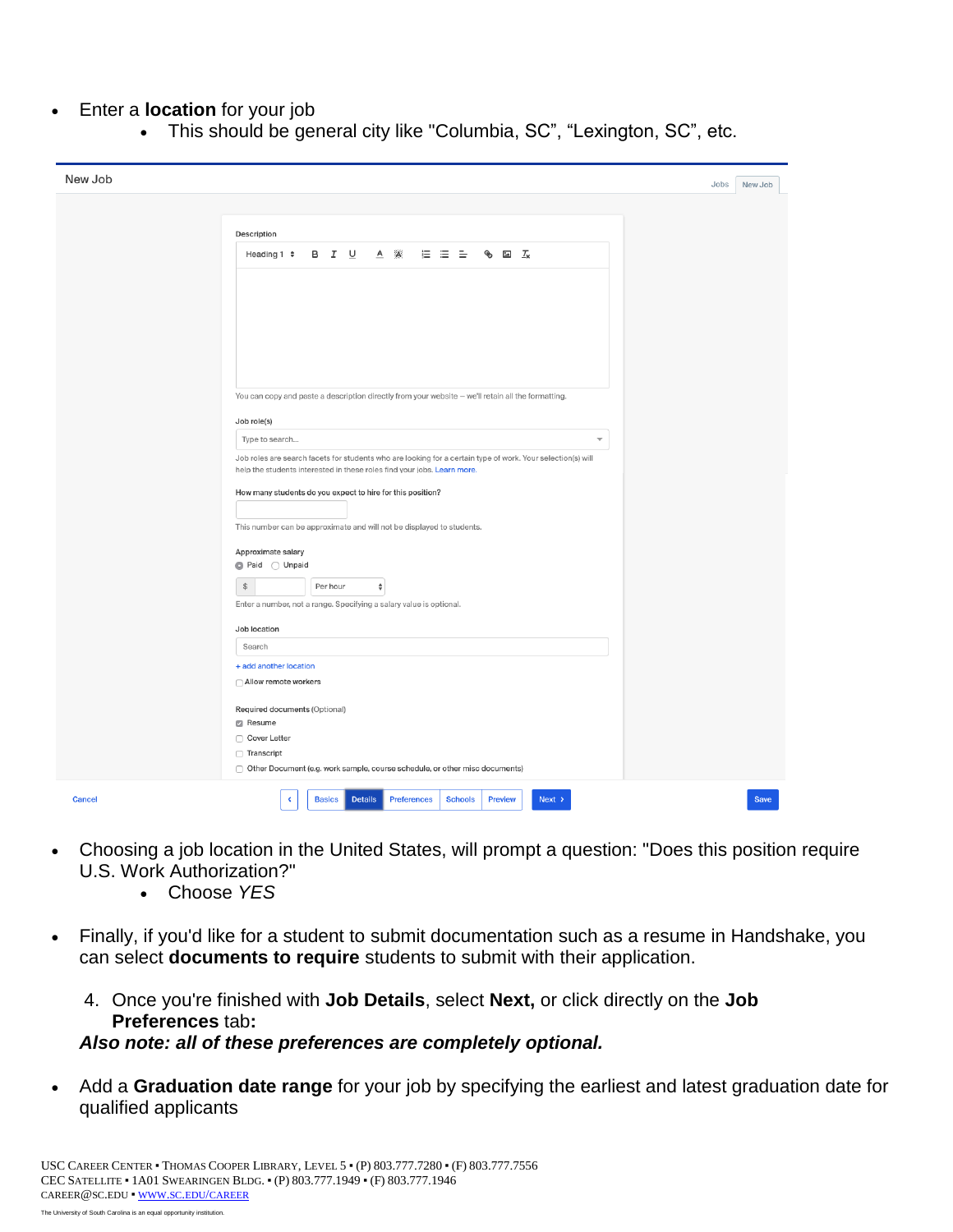#### Enter a **location** for your job

This should be general city like "Columbia, SC", "Lexington, SC", etc.

| New Job |                                                                                                             | New Job<br>Jobs |
|---------|-------------------------------------------------------------------------------------------------------------|-----------------|
|         |                                                                                                             |                 |
|         | Description                                                                                                 |                 |
|         | $A \times A$<br>描 注 告<br>$\circledast$ $\Box$ $\mathcal{I}_{\mathbf{x}}$<br>Heading $1 \div$                |                 |
|         |                                                                                                             |                 |
|         |                                                                                                             |                 |
|         |                                                                                                             |                 |
|         |                                                                                                             |                 |
|         |                                                                                                             |                 |
|         |                                                                                                             |                 |
|         | You can copy and paste a description directly from your website - we'll retain all the formatting.          |                 |
|         | Job role(s)<br>Type to search<br>$\overline{\phantom{a}}$                                                   |                 |
|         | Job roles are search facets for students who are looking for a certain type of work. Your selection(s) will |                 |
|         | help the students interested in these roles find your jobs. Learn more.                                     |                 |
|         | How many students do you expect to hire for this position?                                                  |                 |
|         | This number can be approximate and will not be displayed to students.                                       |                 |
|         |                                                                                                             |                 |
|         | Approximate salary<br>● Paid ○ Unpaid                                                                       |                 |
|         | $\$$<br>Per hour<br>$\hat{\mathbf{v}}$                                                                      |                 |
|         | Enter a number, not a range. Specifying a salary value is optional.                                         |                 |
|         | Job location                                                                                                |                 |
|         | Search                                                                                                      |                 |
|         | + add another location<br>Allow remote workers                                                              |                 |
|         |                                                                                                             |                 |
|         | Required documents (Optional)<br><b>Z</b> Resume                                                            |                 |
|         | □ Cover Letter                                                                                              |                 |
|         | □ Transcript<br>Other Document (e.g. work sample, course schedule, or other misc documents)                 |                 |
|         |                                                                                                             |                 |
| Cancel  | <b>Basics</b><br><b>Details</b><br><b>Preferences</b><br><b>Schools</b><br>Preview<br>$Next$ ><br>∢         | Save            |

- Choosing a job location in the United States, will prompt a question: "Does this position require U.S. Work Authorization?"
	- Choose *YES*
- Finally, if you'd like for a student to submit documentation such as a resume in Handshake, you can select **documents to require** students to submit with their application.
	- 4. Once you're finished with **Job Details**, select **Next,** or click directly on the **Job Preferences** tab**:**

#### *Also note: all of these preferences are completely optional.*

 Add a **Graduation date range** for your job by specifying the earliest and latest graduation date for qualified applicants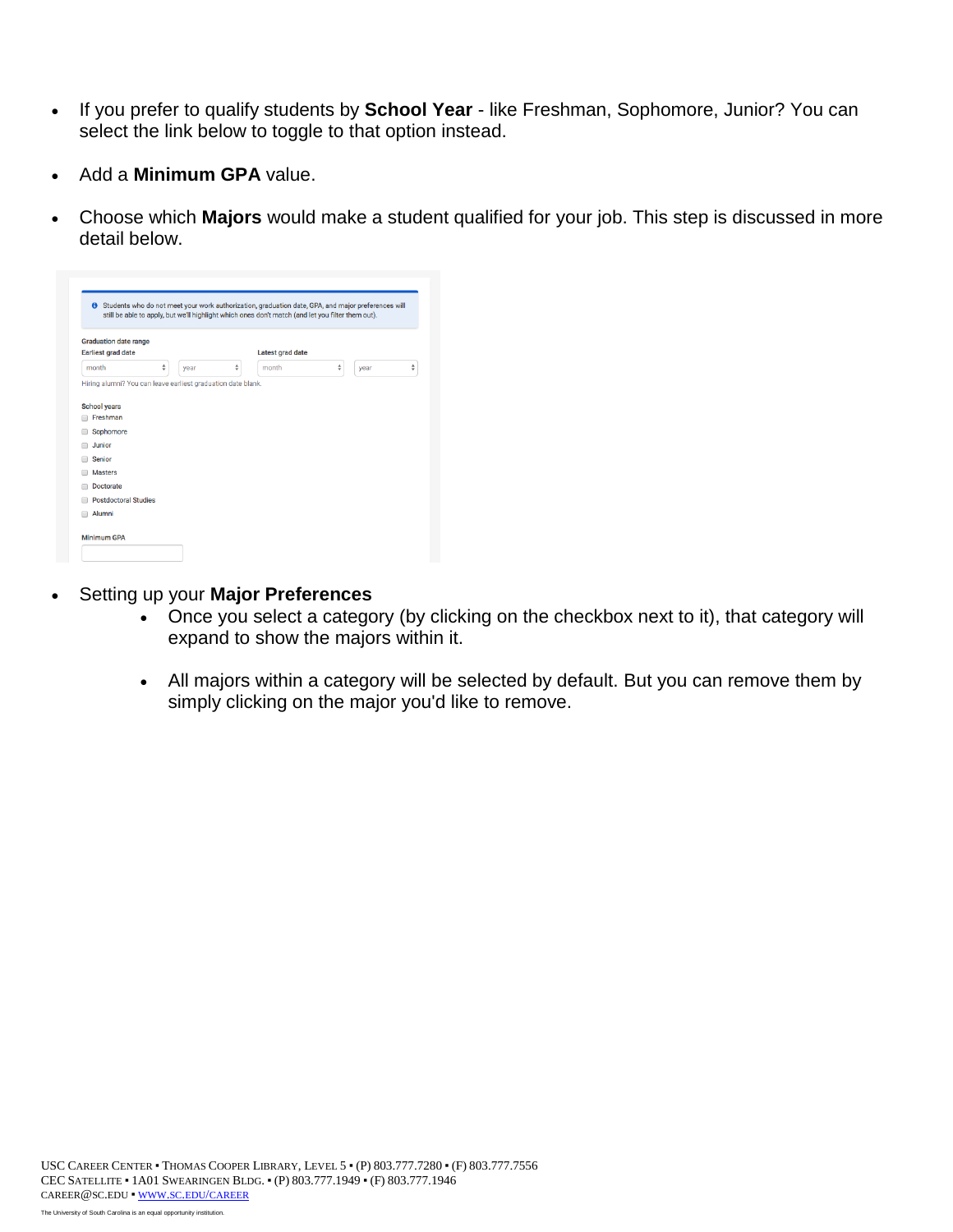- If you prefer to qualify students by **School Year**  like Freshman, Sophomore, Junior? You can select the link below to toggle to that option instead.
- Add a **Minimum GPA** value.
- Choose which **Majors** would make a student qualified for your job. This step is discussed in more detail below.

| <b>Graduation date range</b><br><b>Earliest grad date</b>    |   |      |   | <b>Latest grad date</b> |   |      |   |
|--------------------------------------------------------------|---|------|---|-------------------------|---|------|---|
| month                                                        | ♦ | vear | ♦ | month                   | ♦ | year | ♦ |
| Hiring alumni? You can leave earliest graduation date blank. |   |      |   |                         |   |      |   |
|                                                              |   |      |   |                         |   |      |   |
| <b>School years</b>                                          |   |      |   |                         |   |      |   |
| Freshman<br>F                                                |   |      |   |                         |   |      |   |
| Sophomore                                                    |   |      |   |                         |   |      |   |
| Junior                                                       |   |      |   |                         |   |      |   |
| <b>Senior</b>                                                |   |      |   |                         |   |      |   |
| <b>Masters</b>                                               |   |      |   |                         |   |      |   |
| <b>Doctorate</b>                                             |   |      |   |                         |   |      |   |
| <b>Postdoctoral Studies</b>                                  |   |      |   |                         |   |      |   |
|                                                              |   |      |   |                         |   |      |   |

- Setting up your **Major Preferences** 
	- Once you select a category (by clicking on the checkbox next to it), that category will expand to show the majors within it.
	- All majors within a category will be selected by default. But you can remove them by simply clicking on the major you'd like to remove.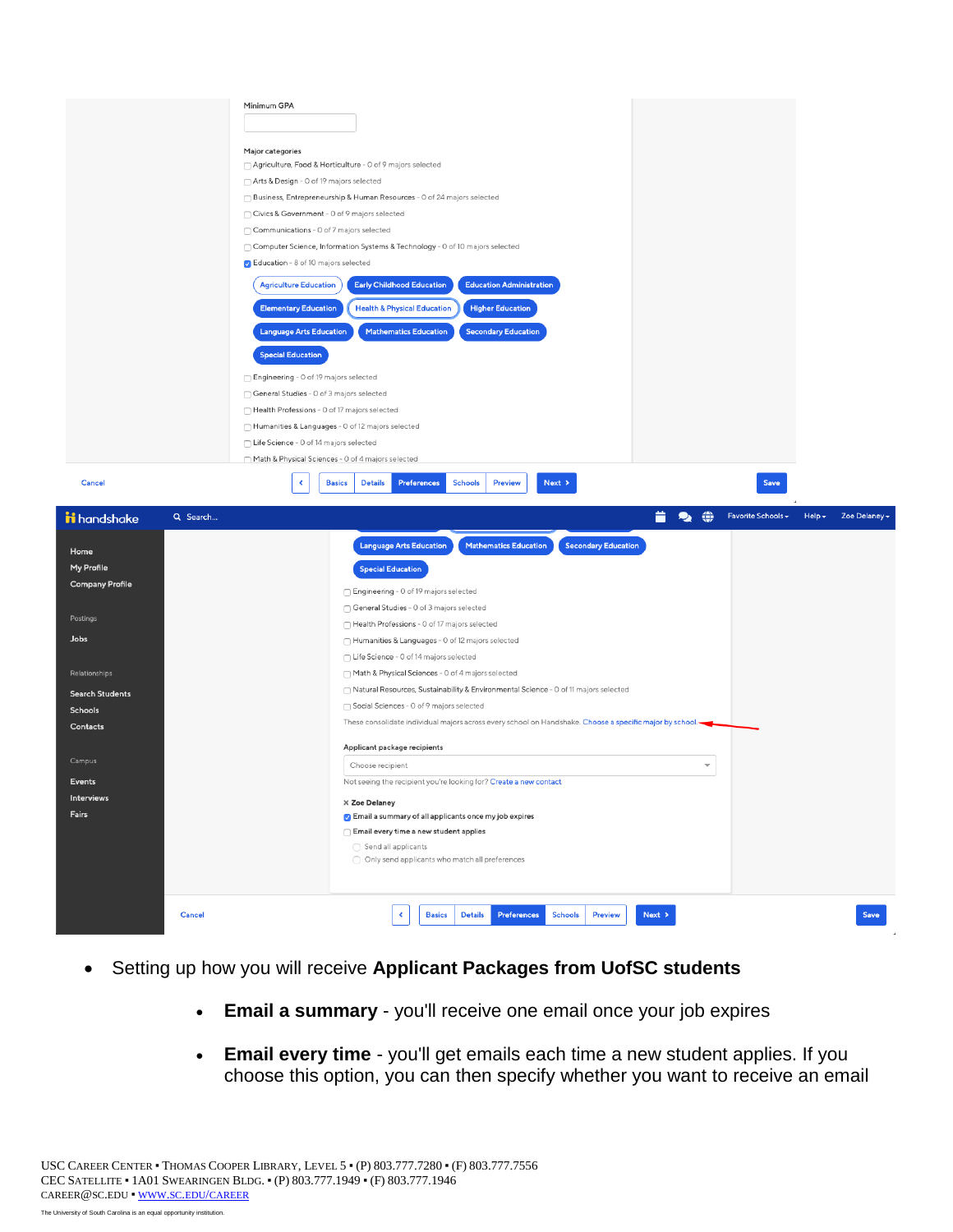|                                                                                                                                                                                               | Minimum GPA<br>Major categories<br>□ Agriculture, Food & Horticulture - 0 of 9 majors selected<br>Arts & Design - 0 of 19 majors selected<br>□ Business, Entrepreneurship & Human Resources - 0 of 24 majors selected<br>Civics & Government - 0 of 9 majors selected<br>Communications - 0 of 7 majors selected<br>□ Computer Science, Information Systems & Technology - 0 of 10 majors selected<br>G Education - 8 of 10 majors selected<br><b>Early Childhood Education</b><br><b>Education Administration</b><br><b>Agriculture Education</b><br><b>Elementary Education</b><br><b>Health &amp; Physical Education</b><br><b>Higher Education</b><br><b>Language Arts Education</b><br><b>Mathematics Education</b><br><b>Secondary Education</b><br><b>Special Education</b><br>□ Engineering - 0 of 19 majors selected<br>General Studies - 0 of 3 majors selected<br>Health Professions - 0 of 17 majors selected<br>Humanities & Languages - 0 of 12 majors selected<br>◯ Life Science - 0 of 14 majors selected<br>Math & Physical Sciences - 0 of 4 majors selected                                          |
|-----------------------------------------------------------------------------------------------------------------------------------------------------------------------------------------------|-------------------------------------------------------------------------------------------------------------------------------------------------------------------------------------------------------------------------------------------------------------------------------------------------------------------------------------------------------------------------------------------------------------------------------------------------------------------------------------------------------------------------------------------------------------------------------------------------------------------------------------------------------------------------------------------------------------------------------------------------------------------------------------------------------------------------------------------------------------------------------------------------------------------------------------------------------------------------------------------------------------------------------------------------------------------------------------------------------------------------|
| Cancel                                                                                                                                                                                        | Preferences<br><b>Schools</b><br><b>Basics</b><br><b>Details</b><br><b>Preview</b><br>Next ><br>∢<br>Save                                                                                                                                                                                                                                                                                                                                                                                                                                                                                                                                                                                                                                                                                                                                                                                                                                                                                                                                                                                                               |
| ii handshake<br>Home<br>My Profile<br><b>Company Profile</b><br>Postings<br>Jobs<br>Relationships<br><b>Search Students</b><br>Schools<br>Contacts<br>Campus<br>Events<br>Interviews<br>Fairs | ◈<br>Favorite Schools -<br>$Help -$<br>Zoe Delaney -<br>Q Search<br>О.<br><b>Secondary Education</b><br><b>Language Arts Education</b><br><b>Mathematics Education</b><br><b>Special Education</b><br>□ Engineering - 0 of 19 majors selected<br>General Studies - 0 of 3 majors selected<br>Health Professions - 0 of 17 majors selected<br>Humanities & Languages - 0 of 12 majors selected<br>◯ Life Science - 0 of 14 majors selected<br>Math & Physical Sciences - 0 of 4 majors selected<br>□ Natural Resources, Sustainability & Environmental Science - 0 of 11 majors selected<br>Social Sciences - 0 of 9 majors selected<br>These consolidate individual majors across every school on Handshake. Choose a specific major by school.<br>Applicant package recipients<br>Choose recipient<br>$\overline{\phantom{a}}$<br>Not seeing the recipient you're looking for? Create a new contact<br>X Zoe Delaney<br><b>Z</b> Email a summary of all applicants once my job expires<br>$\bigcirc$ Email every time a new student applies<br>◯ Send all applicants<br>Only send applicants who match all preferences |
|                                                                                                                                                                                               | Next ><br>Save<br>Cancel<br>K<br><b>Basics</b><br><b>Details</b><br>Preferences<br><b>Schools</b><br><b>Preview</b>                                                                                                                                                                                                                                                                                                                                                                                                                                                                                                                                                                                                                                                                                                                                                                                                                                                                                                                                                                                                     |

- Setting up how you will receive **Applicant Packages from UofSC students** 
	- **Email a summary**  you'll receive one email once your job expires
	- **Email every time**  you'll get emails each time a new student applies. If you choose this option, you can then specify whether you want to receive an email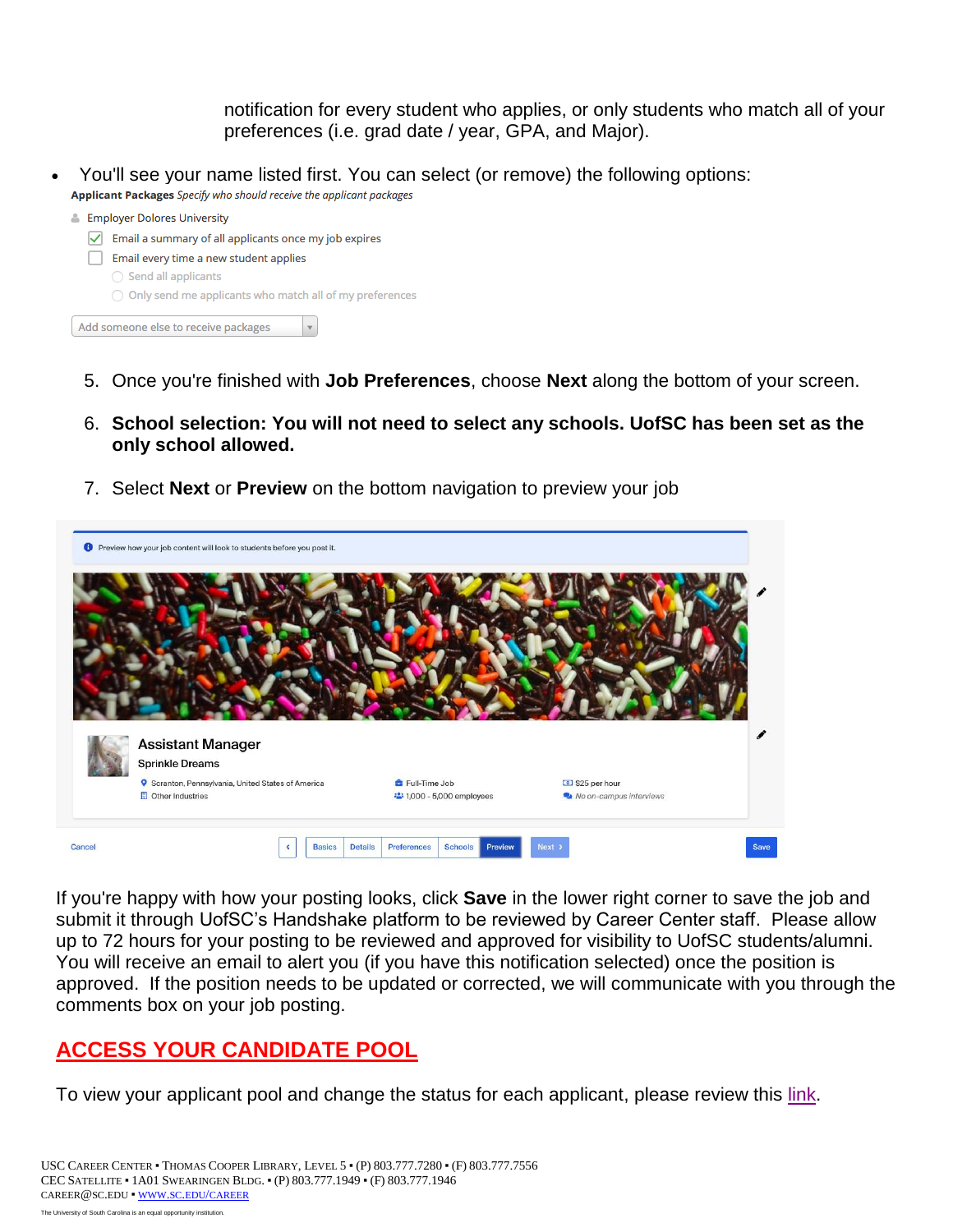notification for every student who applies, or only students who match all of your preferences (i.e. grad date / year, GPA, and Major).

 You'll see your name listed first. You can select (or remove) the following options: Applicant Packages Specify who should receive the applicant packages



- 5. Once you're finished with **Job Preferences**, choose **Next** along the bottom of your screen.
- 6. **School selection: You will not need to select any schools. UofSC has been set as the only school allowed.**
- 7. Select **Next** or **Preview** on the bottom navigation to preview your job



 If you're happy with how your posting looks, click **Save** in the lower right corner to save the job and up to 72 hours for your posting to be reviewed and approved for visibility to UofSC students/alumni. submit it through UofSC's Handshake platform to be reviewed by Career Center staff. Please allow You will receive an email to alert you (if you have this notification selected) once the position is approved. If the position needs to be updated or corrected, we will communicate with you through the comments box on your job posting.

# **ACCESS YOUR CANDIDATE POOL**

To view your applicant pool and change the status for each applicant, please review this [link.](https://support.joinhandshake.com/hc/en-us/articles/115012930067-Access-and-View-Applications)